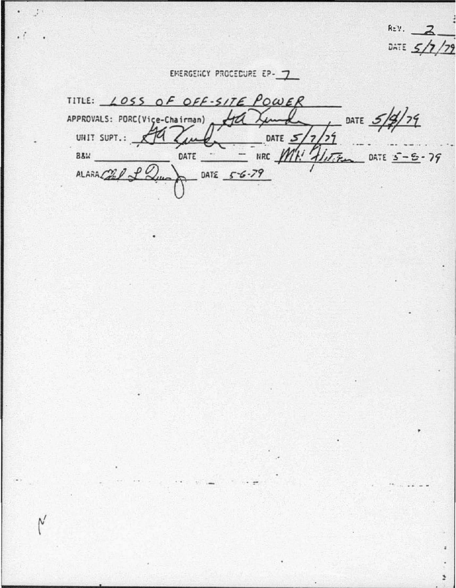REV. DATE  $5/7$ 

J.

EMERGENCY PROCEDURE EP-7

Ν

TITLE: LOSS OF OFF-SITE POWER  $179$ APPROVALS: PORC(Vice-Chairman) DATE C НÚ UNIT SUPT.: DATE  $5/7$  $\mu$ NRC MH! HITTEN DATE  $s - 5 - 79$ B&W DATE -DATE  $56 - 79$  $ALARA C2$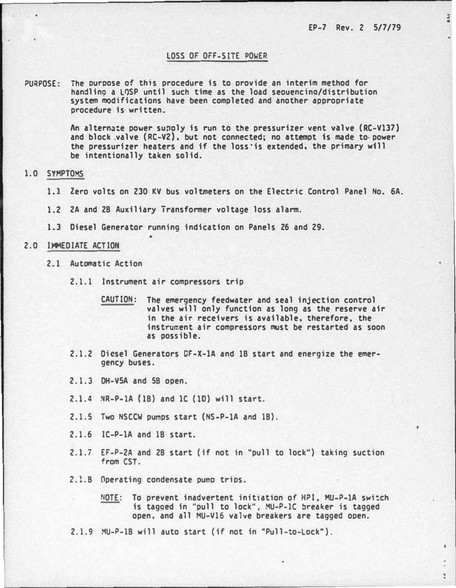ā

ï

### LOSS OF OFF-SITE POWER

PURPOSE: The ouroose of this procedure is to provide an interim method for handline a LQSP until such time as the load seouencina/distribution system modifications have been completed and another appropriate procedure is· written.

> An alternate power supoly is run to the pressurizer vent valve (RC-V137) and block .valve (RC-V2}. but not connected; no attempt is made to. power the pressurizer heaters and if the loss·is extended. the primary will be intentionally taken solid.

## 1.0 SYMPTOMS

- 1.1 Zero volts on 230 KV bus voltmeters on the Electric Control Panel No. 6A.
- 1.2 2A and 28 Auxiliary Transformer voltage loss alarm.
- 1.3 Diesel Generator running indication on Panels 26 and 29.

#### 2.0 IMMEDIATE ACTION

- 2.1 Automatic Action
	- 2.1.1 Instrument air compressors trip
		- CAUTION: The emergency feedwater and seal injection control valves will only function as long as the reserve air in the air receivers is available. therefore. the instrument air compressors must be restarted as soon as possible.
	- 2.1.2 Diesel Generators CF-X-lA and 18 start and energize the emergency buses.
	- 2.1.3 DH-VSA and 58 open.
	- 2.1.4 �R-P-lA (18} and 1C (lD) will start.
	- 2.1.5 Two NSCCW pumps start (NS-P-lA and 18}.
	- 2.1.6 IC-P-lA and 18 start.
	- 2.1.7 EF-P-2A and 28 start (ff not in "pull to lock") taking suction from CST.
	- 2.1.8 Operating condensate pumo trios.
		- NOTE: To prevent inadvertent initiation of HPI. MU-P-lA swi:ch is tagged in "pull to lock". MU-P-1C breaker is tagged open. and all MU-V16 valve breakers are tagged ooen.

2.1.9 MU-P-18 will auto start (if not in "Pull-to-Lock").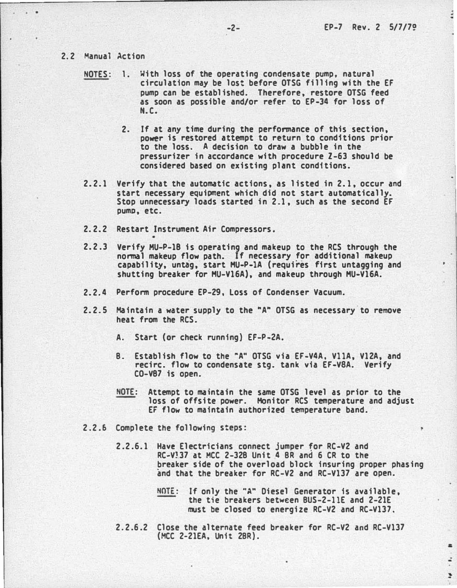# 2.2 Manual Action

- NOTES: 1. With loss of the operating condensate pump, natural circulation may be lost before OTSG filling with the EF pump can be established. Therefore, restore OTSG feed as soon as possible and/or refer to EP-34 for loss of N.C.
	- 2. If at any time during the performance of this section, power is restored attempt to return to conditions prior to the loss. A decision to draw a bubble in the pressurizer in accordance with procedure Z-63 should be considered based on existing plant conditions.
- 2.2.1 Verify that the automatic actions, as listed in 2.1, occur and start necessary equipment which did not start automatically. Stop unnecessary loads started in 2.1, such as the second EF pump, etc.
- 2. 2.2 Restart Instrument Air Compressors.
- 2.2.3 Verify MU-P-18 is operating and makeup to the RCS through the normal makeup flow path. If necessary for additional makeup capability, untag, start MU-P-1A (requires first untagging and shutting breaker for HU-V16A), and makeup through HU-V16A.
- 2.2.4 Perform procedure EP-29, Loss of Condenser Vacuum.
- 2.2. 5 Maintain a water supply to the "A" OTSG as necessary.to remove heat from the RCS.
	- A. Start (or check running) EF-P-2A.
	- B. Establish flow to the "A" OTSG via EF-V4A, VllA, V12A, and recirc. flow to condensate stg. tank via EF-V8A. Verify CO-V87 is open.
	- NOTE: Attempt to maintain the same OTSG level as prior to the loss of offsite power. Monitor RCS temperature and adjust EF flow to maintain authorized temperature band.
- 2.2.6 Complete the following steps:
	- 2.2.6.1 Have Electricians connect jumper for RC-V2 and RC-V<sub>37</sub> at MCC 2-328 Unit 4 BR and 6 CR to the �reaker side of the overload block insuring proper phasing and that the breaker for RC-V2 and RC-V137 are open.
		- NOTE: If only the "A" Diesel Generator is available, the tie breakers between BUS-2-11E and 2-21E must be closed to energize RC-V2 and RC-V137.

& .: � ·.

2. 2.6.2 Close the alternate feed breaker for RC-V2 and RC-V137 (HCC 2-21EA, Unit 2BR).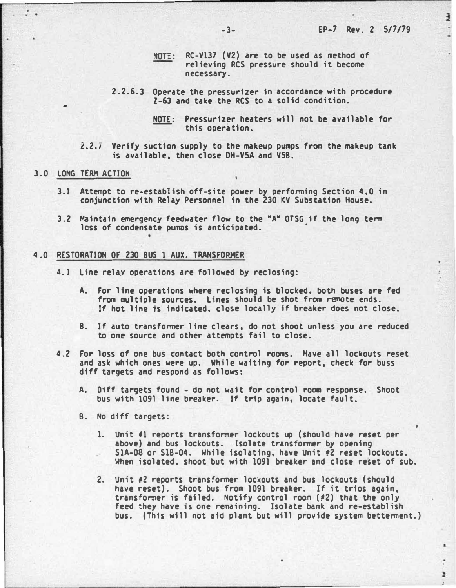$\frac{1}{2}$ 

;

÷

 $\blacksquare$ 

- NOTE: RC-V137 (V2) are to be used as method of relieving RCS pressure should it become necessary.
- 2.2.6. 3 Operate the pressurizer in accordance with procedure  $7-63$  and take the RCS to a solid condition.

2.Z.7 Verify suction supply to the makeup pumps from the makeup tank is available, then close DH-VSA and VSB.

### 3.0 LONG TERM ACTION

•

. .

- 3.1 Attempt to re-establish off-site power' by performing Section 4,0 in conjunction with Relay Personnel in the 230 KV Substation House.
- 3.2 Maintain emergency feedwater flow to the "A" OTSG if the long term loss of condensate pumos is anticipated.

#### 4.0 RESTORATION OF 230 BUS 1 AUX. TRANSFORMER

- 4. 1 Line relay operations are followed by reclosing:
	- A. For line operations where reclosing is blocked, both buses are fed from multiple sources. Lines should be shot from remote ends. If hot line is indicated, close locally if breaker does not close.
	- B. If auto transformer line clears, do not shoot unless you are reduced to one source and other attempts fail to close.
- 4.2 For loss of one bus contact both control rooms. Have all lockouts reset and ask which ones were up. While waiting for report, check for buss diff targets and respond as follows:
	- A. Diff targets found do not wait for control room response. Shoot bus with 1091 line breaker. If trip again, locate fault.
	- B. No diff targets:
		- 1. Unit f1 reports transformer lockouts up (should have reset per above) and bus lockouts. Isolate transformer by opening S1A-08 or S1B-04. While isolating, have Unit #2 reset lockouts. When isolated, shoot"but with 1091 breaker and close reset of sub.
		- 2. Unit #2 reports transformer lockouts and bus lockouts (should have reset). Shoot bus from 1091 breaker. If it trios again, transformer is failed. Notify control room (#2) that the only feed they have is one remaining. Isolate bank and re-establish bus. (This will not aid plant but will provide system bettennent.)

NOTE: Pressurizer heaters will not be available for this operation.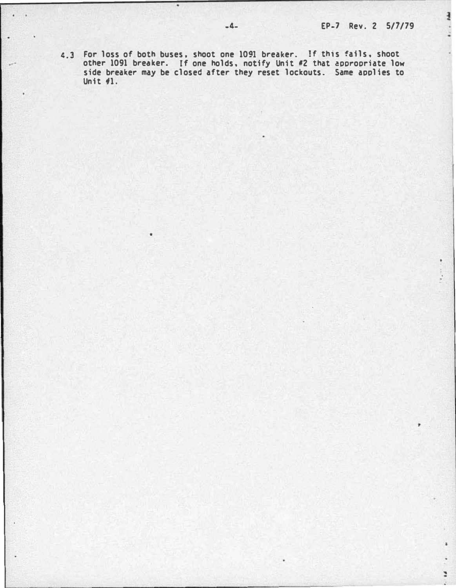$\frac{1}{2}$ 

 $\mathbf{r}^{(k)}$ 

÷

4.3 For loss of both buses. shoot one 1091 breaker. If this fails. shoot other 1091 breaker. If one holds. notify Unit •2 that aoorooriate low side breaker may be closed after they reset lockouts. Same applies to Unit  $41.$ 

 $\ddot{\phantom{1}}$